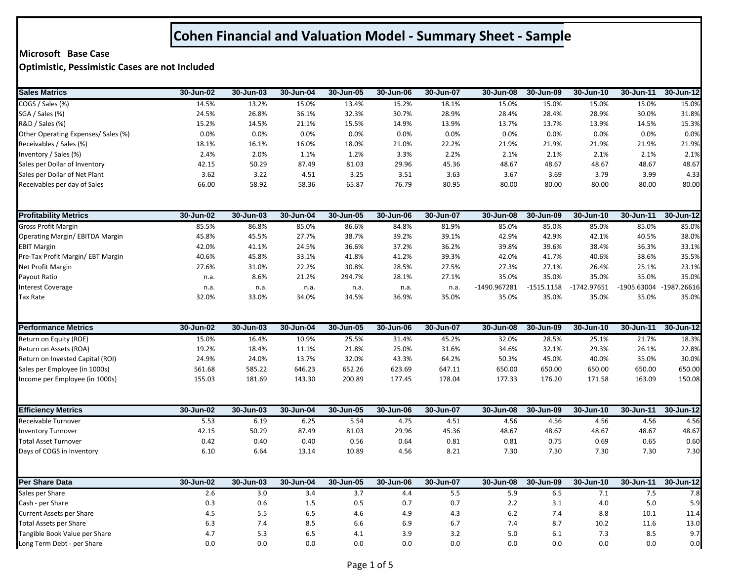## **Cohen Financial and Valuation Model - Summary Sheet - Sample**

## **Microsoft Base Case**

**Optimistic, Pessimistic Cases are not Included**

| <b>Sales Matrics</b>                                | 30-Jun-02  | 30-Jun-03  | 30-Jun-04  | 30-Jun-05  | 30-Jun-06  | 30-Jun-07  | 30-Jun-08    | 30-Jun-09    | 30-Jun-10     | 30-Jun-11     | 30-Jun-12               |
|-----------------------------------------------------|------------|------------|------------|------------|------------|------------|--------------|--------------|---------------|---------------|-------------------------|
| COGS / Sales (%)                                    | 14.5%      | 13.2%      | 15.0%      | 13.4%      | 15.2%      | 18.1%      | 15.0%        | 15.0%        | 15.0%         | 15.0%         | 15.0%                   |
| SGA / Sales (%)                                     | 24.5%      | 26.8%      | 36.1%      | 32.3%      | 30.7%      | 28.9%      | 28.4%        | 28.4%        | 28.9%         | 30.0%         | 31.8%                   |
| R&D / Sales (%)                                     | 15.2%      | 14.5%      | 21.1%      | 15.5%      | 14.9%      | 13.9%      | 13.7%        | 13.7%        | 13.9%         | 14.5%         | 15.3%                   |
| Other Operating Expenses/ Sales (%)                 | 0.0%       | 0.0%       | 0.0%       | 0.0%       | 0.0%       | 0.0%       | 0.0%         | 0.0%         | 0.0%          | 0.0%          | 0.0%                    |
| Receivables / Sales (%)                             | 18.1%      | 16.1%      | 16.0%      | 18.0%      | 21.0%      | 22.2%      | 21.9%        | 21.9%        | 21.9%         | 21.9%         | 21.9%                   |
| Inventory / Sales (%)                               | 2.4%       | 2.0%       | 1.1%       | 1.2%       | 3.3%       | 2.2%       | 2.1%         | 2.1%         | 2.1%          | 2.1%          | 2.1%                    |
| Sales per Dollar of Inventory                       | 42.15      | 50.29      | 87.49      | 81.03      | 29.96      | 45.36      | 48.67        | 48.67        | 48.67         | 48.67         | 48.67                   |
| Sales per Dollar of Net Plant                       | 3.62       | 3.22       | 4.51       | 3.25       | 3.51       | 3.63       | 3.67         | 3.69         | 3.79          | 3.99          | 4.33                    |
| Receivables per day of Sales                        | 66.00      | 58.92      | 58.36      | 65.87      | 76.79      | 80.95      | 80.00        | 80.00        | 80.00         | 80.00         | 80.00                   |
| <b>Profitability Metrics</b>                        | 30-Jun-02  | 30-Jun-03  | 30-Jun-04  | 30-Jun-05  | 30-Jun-06  | 30-Jun-07  | 30-Jun-08    | 30-Jun-09    | 30-Jun-10     | $30 - Jun-11$ | 30-Jun-12               |
| <b>Gross Profit Margin</b>                          | 85.5%      | 86.8%      | 85.0%      | 86.6%      | 84.8%      | 81.9%      | 85.0%        | 85.0%        | 85.0%         | 85.0%         | 85.0%                   |
| Operating Margin/ EBITDA Margin                     | 45.8%      | 45.5%      | 27.7%      | 38.7%      | 39.2%      | 39.1%      | 42.9%        | 42.9%        | 42.1%         | 40.5%         | 38.0%                   |
| <b>EBIT Margin</b>                                  | 42.0%      | 41.1%      | 24.5%      | 36.6%      | 37.2%      | 36.2%      | 39.8%        | 39.6%        | 38.4%         | 36.3%         | 33.1%                   |
| Pre-Tax Profit Margin/ EBT Margin                   | 40.6%      | 45.8%      | 33.1%      | 41.8%      | 41.2%      | 39.3%      | 42.0%        | 41.7%        | 40.6%         | 38.6%         | 35.5%                   |
| Net Profit Margin                                   | 27.6%      | 31.0%      | 22.2%      | 30.8%      | 28.5%      | 27.5%      | 27.3%        | 27.1%        | 26.4%         | 25.1%         | 23.1%                   |
| Payout Ratio                                        | n.a.       | 8.6%       | 21.2%      | 294.7%     | 28.1%      | 27.1%      | 35.0%        | 35.0%        | 35.0%         | 35.0%         | 35.0%                   |
| <b>Interest Coverage</b>                            | n.a.       | n.a.       | n.a.       | n.a.       | n.a.       | n.a.       | -1490.967281 | $-1515.1158$ | $-1742.97651$ |               | -1905.63004 -1987.26616 |
| <b>Tax Rate</b>                                     | 32.0%      | 33.0%      | 34.0%      | 34.5%      | 36.9%      | 35.0%      | 35.0%        | 35.0%        | 35.0%         | 35.0%         | 35.0%                   |
| <b>Performance Metrics</b>                          | 30-Jun-02  | 30-Jun-03  | 30-Jun-04  | 30-Jun-05  | 30-Jun-06  | 30-Jun-07  | 30-Jun-08    | 30-Jun-09    | 30-Jun-10     | 30-Jun-11     | 30-Jun-12               |
| Return on Equity (ROE)                              | 15.0%      | 16.4%      | 10.9%      | 25.5%      | 31.4%      | 45.2%      | 32.0%        | 28.5%        | 25.1%         | 21.7%         | 18.3%                   |
| Return on Assets (ROA)                              | 19.2%      | 18.4%      | 11.1%      | 21.8%      | 25.0%      | 31.6%      | 34.6%        | 32.1%        | 29.3%         | 26.1%         | 22.8%                   |
| Return on Invested Capital (ROI)                    | 24.9%      | 24.0%      | 13.7%      | 32.0%      | 43.3%      | 64.2%      | 50.3%        | 45.0%        | 40.0%         | 35.0%         | 30.0%                   |
| Sales per Employee (in 1000s)                       | 561.68     | 585.22     | 646.23     | 652.26     | 623.69     | 647.11     | 650.00       | 650.00       | 650.00        | 650.00        | 650.00                  |
| Income per Employee (in 1000s)                      | 155.03     | 181.69     | 143.30     | 200.89     | 177.45     | 178.04     | 177.33       | 176.20       | 171.58        | 163.09        | 150.08                  |
| <b>Efficiency Metrics</b>                           | 30-Jun-02  | 30-Jun-03  | 30-Jun-04  | 30-Jun-05  | 30-Jun-06  | 30-Jun-07  | 30-Jun-08    | 30-Jun-09    | 30-Jun-10     | 30-Jun-11     | 30-Jun-12               |
| Receivable Turnover                                 | 5.53       | 6.19       | 6.25       | 5.54       | 4.75       | 4.51       | 4.56         | 4.56         | 4.56          | 4.56          | 4.56                    |
| <b>Inventory Turnover</b>                           | 42.15      | 50.29      | 87.49      | 81.03      | 29.96      | 45.36      | 48.67        | 48.67        | 48.67         | 48.67         | 48.67                   |
| <b>Total Asset Turnover</b>                         | 0.42       | 0.40       | 0.40       | 0.56       | 0.64       | 0.81       | 0.81         | 0.75         | 0.69          | 0.65          | 0.60                    |
| Days of COGS in Inventory                           | 6.10       | 6.64       | 13.14      | 10.89      | 4.56       | 8.21       | 7.30         | 7.30         | 7.30          | 7.30          | 7.30                    |
| <b>Per Share Data</b>                               | 30-Jun-02  | 30-Jun-03  | 30-Jun-04  | 30-Jun-05  | 30-Jun-06  | 30-Jun-07  | 30-Jun-08    | 30-Jun-09    | 30-Jun-10     | 30-Jun-11     | 30-Jun-12               |
|                                                     |            |            |            |            |            |            |              |              |               |               |                         |
| Sales per Share                                     | 2.6<br>0.3 | 3.0<br>0.6 | 3.4<br>1.5 | 3.7<br>0.5 | 4.4        | 5.5        | 5.9<br>2.2   | 6.5<br>3.1   | 7.1           | 7.5<br>5.0    | 7.8                     |
| Cash - per Share<br><b>Current Assets per Share</b> | 4.5        | 5.5        | 6.5        | 4.6        | 0.7<br>4.9 | 0.7<br>4.3 | $6.2$        | 7.4          | 4.0<br>8.8    | 10.1          | 5.9<br>11.4             |
| <b>Total Assets per Share</b>                       | 6.3        | 7.4        | 8.5        | 6.6        | 6.9        | 6.7        | 7.4          | 8.7          | 10.2          | 11.6          | 13.0                    |
| Tangible Book Value per Share                       | 4.7        | 5.3        | 6.5        | 4.1        | 3.9        | 3.2        | 5.0          | 6.1          | 7.3           | 8.5           | 9.7                     |
| Long Term Debt - per Share                          | 0.0        | 0.0        | 0.0        | 0.0        | 0.0        | 0.0        | 0.0          | 0.0          | 0.0           | 0.0           | 0.0                     |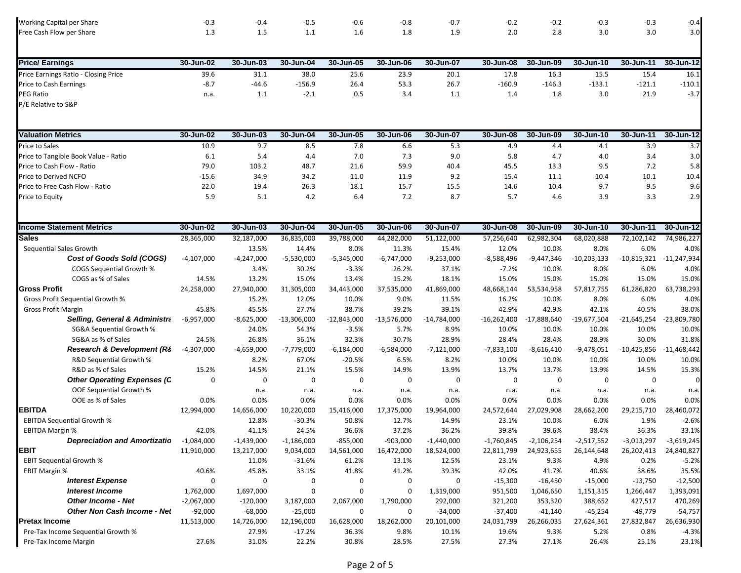| Working Capital per Share                | $-0.3$       | $-0.4$       | $-0.5$        | $-0.6$        | $-0.8$        | $-0.7$        | $-0.2$        | $-0.2$        | $-0.3$        | $-0.3$        | $-0.4$        |
|------------------------------------------|--------------|--------------|---------------|---------------|---------------|---------------|---------------|---------------|---------------|---------------|---------------|
| Free Cash Flow per Share                 | 1.3          | 1.5          | 1.1           | 1.6           | 1.8           | 1.9           | 2.0           | 2.8           | 3.0           | 3.0           | 3.0           |
|                                          |              |              |               |               |               |               |               |               |               |               |               |
| <b>Price/Earnings</b>                    | 30-Jun-02    | 30-Jun-03    | 30-Jun-04     | 30-Jun-05     | 30-Jun-06     | 30-Jun-07     | 30-Jun-08     | 30-Jun-09     | 30-Jun-10     | 30-Jun-11     | 30-Jun-12     |
| Price Earnings Ratio - Closing Price     | 39.6         | 31.1         | 38.0          | 25.6          | 23.9          | 20.1          | 17.8          | 16.3          | 15.5          | 15.4          | 16.1          |
| Price to Cash Earnings                   | $-8.7$       | $-44.6$      | $-156.9$      | 26.4          | 53.3          | 26.7          | $-160.9$      | $-146.3$      | $-133.1$      | $-121.1$      | $-110.1$      |
| PEG Ratio                                | n.a.         | 1.1          | $-2.1$        | 0.5           | 3.4           | 1.1           | 1.4           | 1.8           | 3.0           | 21.9          | $-3.7$        |
| P/E Relative to S&P                      |              |              |               |               |               |               |               |               |               |               |               |
|                                          |              |              |               |               |               |               |               |               |               |               |               |
| <b>Valuation Metrics</b>                 | 30-Jun-02    | 30-Jun-03    | 30-Jun-04     | 30-Jun-05     | 30-Jun-06     | 30-Jun-07     | 30-Jun-08     | 30-Jun-09     | 30-Jun-10     | 30-Jun-11     | 30-Jun-12     |
| Price to Sales                           | 10.9         | 9.7          | 8.5           | 7.8           | 6.6           | 5.3           | 4.9           | 4.4           | 4.1           | 3.9           | 3.7           |
| Price to Tangible Book Value - Ratio     | 6.1          | 5.4          | 4.4           | 7.0           | 7.3           | 9.0           | 5.8           | 4.7           | 4.0           | 3.4           | 3.0           |
| Price to Cash Flow - Ratio               | 79.0         | 103.2        | 48.7          | 21.6          | 59.9          | 40.4          | 45.5          | 13.3          | 9.5           | 7.2           | 5.8           |
| Price to Derived NCFO                    | $-15.6$      | 34.9         | 34.2          | 11.0          | 11.9          | 9.2           | 15.4          | 11.1          | 10.4          | 10.1          | 10.4          |
| Price to Free Cash Flow - Ratio          | 22.0         |              |               |               |               | 15.5          |               | 10.4          |               | 9.5           |               |
|                                          |              | 19.4         | 26.3          | 18.1          | 15.7          |               | 14.6          |               | 9.7           |               | 9.6           |
| Price to Equity                          | 5.9          | 5.1          | 4.2           | 6.4           | 7.2           | 8.7           | 5.7           | 4.6           | 3.9           | 3.3           | 2.9           |
|                                          |              |              |               |               |               |               |               |               |               |               |               |
| <b>Income Statement Metrics</b>          | 30-Jun-02    | 30-Jun-03    | 30-Jun-04     | 30-Jun-05     | 30-Jun-06     | 30-Jun-07     | 30-Jun-08     | 30-Jun-09     | 30-Jun-10     | 30-Jun-11     | 30-Jun-12     |
| <b>Sales</b>                             | 28,365,000   | 32,187,000   | 36,835,000    | 39,788,000    | 44,282,000    | 51,122,000    | 57,256,640    | 62,982,304    | 68,020,888    | 72,102,142    | 74,986,227    |
| Sequential Sales Growth                  |              | 13.5%        | 14.4%         | 8.0%          | 11.3%         | 15.4%         | 12.0%         | 10.0%         | 8.0%          | 6.0%          | 4.0%          |
| Cost of Goods Sold (COGS)                | -4,107,000   | $-4,247,000$ | $-5,530,000$  | $-5,345,000$  | $-6,747,000$  | $-9,253,000$  | $-8,588,496$  | $-9,447,346$  | $-10,203,133$ | $-10,815,321$ | $-11,247,934$ |
| <b>COGS Sequential Growth %</b>          |              | 3.4%         | 30.2%         | $-3.3%$       | 26.2%         | 37.1%         | $-7.2%$       | 10.0%         | 8.0%          | 6.0%          | 4.0%          |
| COGS as % of Sales                       | 14.5%        | 13.2%        | 15.0%         | 13.4%         | 15.2%         | 18.1%         | 15.0%         | 15.0%         | 15.0%         | 15.0%         | 15.0%         |
| <b>Gross Profit</b>                      | 24,258,000   | 27,940,000   | 31,305,000    | 34,443,000    | 37,535,000    | 41,869,000    | 48,668,144    | 53,534,958    | 57,817,755    | 61,286,820    | 63,738,293    |
| Gross Profit Sequential Growth %         |              | 15.2%        | 12.0%         | 10.0%         | 9.0%          | 11.5%         | 16.2%         | 10.0%         | 8.0%          | 6.0%          | 4.0%          |
| <b>Gross Profit Margin</b>               | 45.8%        | 45.5%        | 27.7%         | 38.7%         | 39.2%         | 39.1%         | 42.9%         | 42.9%         | 42.1%         | 40.5%         | 38.0%         |
| <b>Selling, General &amp; Administra</b> | $-6,957,000$ | $-8,625,000$ | $-13,306,000$ | $-12,843,000$ | $-13,576,000$ | $-14,784,000$ | $-16,262,400$ | $-17,888,640$ | $-19,677,504$ | $-21,645,254$ | -23,809,780   |
| SG&A Sequential Growth %                 |              | 24.0%        | 54.3%         | $-3.5%$       | 5.7%          | 8.9%          | 10.0%         | 10.0%         | 10.0%         | 10.0%         | 10.0%         |
| SG&A as % of Sales                       | 24.5%        | 26.8%        | 36.1%         | 32.3%         | 30.7%         | 28.9%         | 28.4%         | 28.4%         | 28.9%         | 30.0%         | 31.8%         |
| Research & Development (Ré               | $-4,307,000$ | $-4,659,000$ | $-7,779,000$  | $-6,184,000$  | $-6,584,000$  | $-7,121,000$  | $-7,833,100$  | $-8,616,410$  | $-9,478,051$  | $-10,425,856$ | $-11,468,442$ |
| R&D Sequential Growth %                  |              | 8.2%         | 67.0%         | $-20.5%$      | 6.5%          | 8.2%          | 10.0%         | 10.0%         | 10.0%         | 10.0%         | 10.0%         |
| R&D as % of Sales                        | 15.2%        | 14.5%        | 21.1%         | 15.5%         | 14.9%         | 13.9%         | 13.7%         | 13.7%         | 13.9%         | 14.5%         | 15.3%         |
| <b>Other Operating Expenses (C</b>       | $\mathbf 0$  | $\mathbf 0$  | 0             | $\mathbf 0$   | $\mathbf 0$   | $\mathbf 0$   | $\mathbf 0$   | $\mathbf 0$   | 0             | 0             | $\Omega$      |
| OOE Sequential Growth %                  |              | n.a.         | n.a.          | n.a.          | n.a.          | n.a.          | n.a.          | n.a.          | n.a.          | n.a.          | n.a.          |
| OOE as % of Sales                        | 0.0%         | 0.0%         | 0.0%          | 0.0%          | 0.0%          | 0.0%          | 0.0%          | 0.0%          | 0.0%          | 0.0%          | 0.0%          |
| <b>EBITDA</b>                            | 12,994,000   | 14,656,000   | 10,220,000    | 15,416,000    | 17,375,000    | 19,964,000    | 24,572,644    | 27,029,908    | 28,662,200    | 29,215,710    | 28,460,072    |
| <b>EBITDA Sequential Growth %</b>        |              | 12.8%        | $-30.3%$      | 50.8%         | 12.7%         | 14.9%         | 23.1%         | 10.0%         | 6.0%          | 1.9%          | $-2.6%$       |
| <b>EBITDA Margin %</b>                   | 42.0%        | 41.1%        | 24.5%         | 36.6%         | 37.2%         | 36.2%         | 39.8%         | 39.6%         | 38.4%         | 36.3%         | 33.1%         |
| <b>Depreciation and Amortizatio</b>      | $-1,084,000$ | $-1,439,000$ | $-1,186,000$  | $-855,000$    | $-903,000$    | $-1,440,000$  | $-1,760,845$  | $-2,106,254$  | $-2,517,552$  | $-3,013,297$  | $-3,619,245$  |
| EBIT                                     | 11,910,000   | 13,217,000   | 9,034,000     | 14,561,000    | 16,472,000    | 18,524,000    | 22,811,799    | 24,923,655    | 26,144,648    | 26,202,413    | 24,840,827    |
| <b>EBIT Sequential Growth %</b>          |              | 11.0%        | $-31.6%$      | 61.2%         | 13.1%         | 12.5%         | 23.1%         | 9.3%          | 4.9%          | 0.2%          | $-5.2%$       |
| <b>EBIT Margin %</b>                     | 40.6%        | 45.8%        | 33.1%         | 41.8%         | 41.2%         | 39.3%         | 42.0%         | 41.7%         | 40.6%         | 38.6%         | 35.5%         |
| <b>Interest Expense</b>                  | 0            | 0            | 0             | 0             | 0             | 0             | $-15,300$     | $-16,450$     | $-15,000$     | $-13,750$     | $-12,500$     |
| <b>Interest Income</b>                   | 1,762,000    | 1,697,000    | 0             | $\mathbf 0$   | 0             | 1,319,000     | 951,500       | 1,046,650     | 1,151,315     | 1,266,447     | 1,393,091     |
| <b>Other Income - Net</b>                | $-2,067,000$ | $-120,000$   | 3,187,000     | 2,067,000     | 1,790,000     | 292,000       | 321,200       | 353,320       | 388,652       | 427,517       | 470,269       |
| Other Non Cash Income - Net              | $-92,000$    | $-68,000$    | $-25,000$     | 0             | 0             | $-34,000$     | $-37,400$     | $-41,140$     | $-45,254$     | $-49,779$     | $-54,757$     |
| <b>Pretax Income</b>                     | 11,513,000   | 14,726,000   | 12,196,000    | 16,628,000    | 18,262,000    | 20,101,000    | 24,031,799    | 26,266,035    | 27,624,361    | 27,832,847    | 26,636,930    |
| Pre-Tax Income Sequential Growth %       |              | 27.9%        | $-17.2%$      | 36.3%         | 9.8%          | 10.1%         | 19.6%         | 9.3%          | 5.2%          | 0.8%          | $-4.3%$       |
| Pre-Tax Income Margin                    | 27.6%        | 31.0%        | 22.2%         | 30.8%         | 28.5%         | 27.5%         | 27.3%         | 27.1%         | 26.4%         | 25.1%         | 23.1%         |
|                                          |              |              |               |               |               |               |               |               |               |               |               |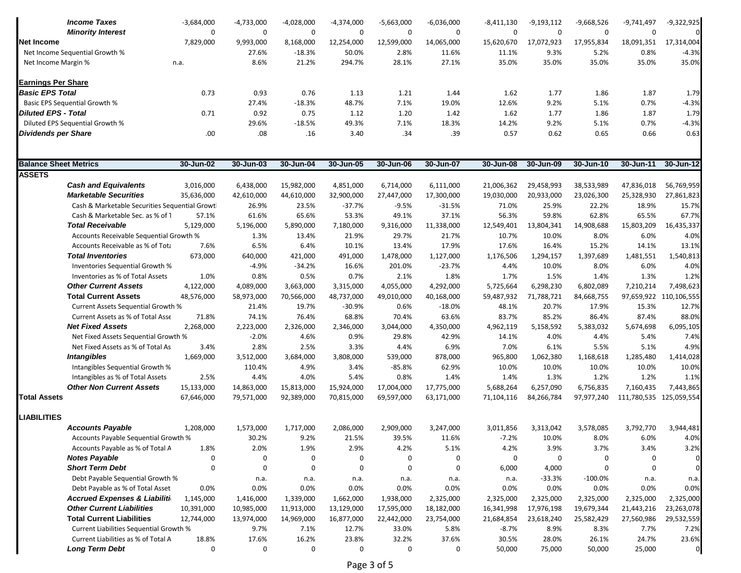| <b>Income Taxes</b>                           | $-3,684,000$ | $-4,733,000$ | $-4,028,000$     | $-4,374,000$ | $-5,663,000$ | $-6,036,000$     | $-8,411,130$ | $-9,193,112$ | $-9,668,526$ | $-9,741,497$ | $-9,322,925$           |
|-----------------------------------------------|--------------|--------------|------------------|--------------|--------------|------------------|--------------|--------------|--------------|--------------|------------------------|
| <b>Minority Interest</b>                      | $\mathbf 0$  | 0            | $\mathbf 0$      | $\mathbf 0$  | $\mathbf 0$  | $\boldsymbol{0}$ | $\mathbf 0$  | $\mathbf 0$  | $\mathbf 0$  | $\mathbf 0$  | $\Omega$               |
| Net Income                                    | 7,829,000    | 9,993,000    | 8,168,000        | 12,254,000   | 12,599,000   | 14,065,000       | 15,620,670   | 17,072,923   | 17,955,834   | 18,091,351   | 17,314,004             |
| Net Income Sequential Growth %                |              | 27.6%        | $-18.3%$         | 50.0%        | 2.8%         | 11.6%            | 11.1%        | 9.3%         | 5.2%         | 0.8%         | $-4.3%$                |
| Net Income Margin %                           | n.a.         | 8.6%         | 21.2%            | 294.7%       | 28.1%        | 27.1%            | 35.0%        | 35.0%        | 35.0%        | 35.0%        | 35.0%                  |
| Earnings Per Share                            |              |              |                  |              |              |                  |              |              |              |              |                        |
| <b>Basic EPS Total</b>                        | 0.73         | 0.93         | 0.76             | 1.13         | 1.21         | 1.44             | 1.62         | 1.77         | 1.86         | 1.87         | 1.79                   |
| <b>Basic EPS Sequential Growth %</b>          |              | 27.4%        | $-18.3%$         | 48.7%        | 7.1%         | 19.0%            | 12.6%        | 9.2%         | 5.1%         | 0.7%         | $-4.3%$                |
| Diluted EPS - Total                           | 0.71         | 0.92         | 0.75             | 1.12         | 1.20         | 1.42             | 1.62         | 1.77         | 1.86         | 1.87         | 1.79                   |
| Diluted EPS Sequential Growth %               |              | 29.6%        | $-18.5%$         | 49.3%        | 7.1%         | 18.3%            | 14.2%        | 9.2%         | 5.1%         | 0.7%         | $-4.3%$                |
| <b>Dividends per Share</b>                    | .00          | .08          | .16              | 3.40         | .34          | .39              | 0.57         | 0.62         | 0.65         | 0.66         | 0.63                   |
|                                               |              |              |                  |              |              |                  |              |              |              |              |                        |
| <b>Balance Sheet Metrics</b>                  | 30-Jun-02    | 30-Jun-03    | 30-Jun-04        | 30-Jun-05    | 30-Jun-06    | 30-Jun-07        | 30-Jun-08    | 30-Jun-09    | 30-Jun-10    | 30-Jun-11    | 30-Jun-12              |
| <b>ASSETS</b>                                 |              |              |                  |              |              |                  |              |              |              |              |                        |
| <b>Cash and Equivalents</b>                   | 3,016,000    | 6,438,000    | 15,982,000       | 4,851,000    | 6,714,000    | 6,111,000        | 21,006,362   | 29,458,993   | 38,533,989   | 47,836,018   | 56,769,959             |
| <b>Marketable Securities</b>                  | 35,636,000   | 42,610,000   | 44,610,000       | 32,900,000   | 27,447,000   | 17,300,000       | 19,030,000   | 20,933,000   | 23,026,300   | 25,328,930   | 27,861,823             |
| Cash & Marketable Securities Sequential Growt |              | 26.9%        | 23.5%            | $-37.7%$     | $-9.5%$      | $-31.5%$         | 71.0%        | 25.9%        | 22.2%        | 18.9%        | 15.7%                  |
| Cash & Marketable Sec. as % of 1              | 57.1%        | 61.6%        | 65.6%            | 53.3%        | 49.1%        | 37.1%            | 56.3%        | 59.8%        | 62.8%        | 65.5%        | 67.7%                  |
| <b>Total Receivable</b>                       | 5,129,000    | 5,196,000    | 5,890,000        | 7,180,000    | 9,316,000    | 11,338,000       | 12,549,401   | 13,804,341   | 14,908,688   | 15,803,209   | 16,435,337             |
| Accounts Receivable Sequential Growth %       |              | 1.3%         | 13.4%            | 21.9%        | 29.7%        | 21.7%            | 10.7%        | 10.0%        | 8.0%         | 6.0%         | 4.0%                   |
| Accounts Receivable as % of Tota              | 7.6%         | 6.5%         | 6.4%             | 10.1%        | 13.4%        | 17.9%            | 17.6%        | 16.4%        | 15.2%        | 14.1%        | 13.1%                  |
| <b>Total Inventories</b>                      | 673,000      | 640,000      | 421,000          | 491,000      | 1,478,000    | 1,127,000        | 1,176,506    | 1,294,157    | 1,397,689    | 1,481,551    | 1,540,813              |
| Inventories Sequential Growth %               |              | $-4.9%$      | $-34.2%$         | 16.6%        | 201.0%       | $-23.7%$         | 4.4%         | 10.0%        | 8.0%         | 6.0%         | 4.0%                   |
| Inventories as % of Total Assets              | 1.0%         | 0.8%         | 0.5%             | 0.7%         | 2.1%         | 1.8%             | 1.7%         | 1.5%         | 1.4%         | 1.3%         | 1.2%                   |
| <b>Other Current Assets</b>                   | 4,122,000    | 4,089,000    | 3,663,000        | 3,315,000    | 4,055,000    | 4,292,000        | 5,725,664    | 6,298,230    | 6,802,089    | 7,210,214    | 7,498,623              |
| <b>Total Current Assets</b>                   | 48,576,000   | 58,973,000   | 70,566,000       | 48,737,000   | 49,010,000   | 40,168,000       | 59,487,932   | 71,788,721   | 84,668,755   |              | 97,659,922 110,106,555 |
| Current Assets Sequential Growth %            |              | 21.4%        | 19.7%            | $-30.9%$     | 0.6%         | $-18.0%$         | 48.1%        | 20.7%        | 17.9%        | 15.3%        | 12.7%                  |
| Current Assets as % of Total Asse             | 71.8%        | 74.1%        | 76.4%            | 68.8%        | 70.4%        | 63.6%            | 83.7%        | 85.2%        | 86.4%        | 87.4%        | 88.0%                  |
| <b>Net Fixed Assets</b>                       | 2,268,000    | 2,223,000    | 2,326,000        | 2,346,000    | 3,044,000    | 4,350,000        | 4,962,119    | 5,158,592    | 5,383,032    | 5,674,698    | 6,095,105              |
| Net Fixed Assets Sequential Growth %          |              | $-2.0%$      | 4.6%             | 0.9%         | 29.8%        | 42.9%            | 14.1%        | 4.0%         | 4.4%         | 5.4%         | 7.4%                   |
| Net Fixed Assets as % of Total As             | 3.4%         | 2.8%         | 2.5%             | 3.3%         | 4.4%         | 6.9%             | 7.0%         | 6.1%         | 5.5%         | 5.1%         | 4.9%                   |
| <b>Intangibles</b>                            | 1,669,000    | 3,512,000    | 3,684,000        | 3,808,000    | 539,000      | 878,000          | 965,800      | 1,062,380    | 1,168,618    | 1,285,480    | 1,414,028              |
| Intangibles Sequential Growth %               |              | 110.4%       | 4.9%             | 3.4%         | $-85.8%$     | 62.9%            | 10.0%        | 10.0%        | 10.0%        | 10.0%        | 10.0%                  |
| Intangibles as % of Total Assets              | 2.5%         | 4.4%         | 4.0%             | 5.4%         | 0.8%         | 1.4%             | 1.4%         | 1.3%         | 1.2%         | 1.2%         | 1.1%                   |
| <b>Other Non Current Assets</b>               | 15,133,000   | 14,863,000   | 15,813,000       | 15,924,000   | 17,004,000   | 17,775,000       | 5,688,264    | 6,257,090    | 6,756,835    | 7,160,435    | 7,443,865              |
| Total Assets                                  | 67,646,000   | 79,571,000   | 92,389,000       | 70,815,000   | 69,597,000   | 63,171,000       | 71,104,116   | 84,266,784   | 97,977,240   | 111,780,535  | 125,059,554            |
| <b>LIABILITIES</b>                            |              |              |                  |              |              |                  |              |              |              |              |                        |
| <b>Accounts Payable</b>                       | 1,208,000    | 1,573,000    | 1,717,000        | 2,086,000    | 2,909,000    | 3,247,000        | 3,011,856    | 3,313,042    | 3,578,085    | 3,792,770    | 3,944,481              |
| Accounts Payable Sequential Growth %          |              | 30.2%        | 9.2%             | 21.5%        | 39.5%        | 11.6%            | -7.2%        | 10.0%        | 8.0%         | 6.0%         | 4.0%                   |
| Accounts Payable as % of Total A              | 1.8%         | 2.0%         | 1.9%             | 2.9%         | 4.2%         | 5.1%             | 4.2%         | 3.9%         | 3.7%         | 3.4%         | 3.2%                   |
| <b>Notes Payable</b>                          | 0            | 0            | 0                | 0            | 0            | 0                | 0            | 0            | 0            | 0            | 0                      |
| <b>Short Term Debt</b>                        | $\mathbf 0$  | $\mathbf 0$  | 0                | 0            | 0            | 0                | 6,000        | 4,000        | 0            | 0            | $\mathbf 0$            |
| Debt Payable Sequential Growth %              |              | n.a.         | n.a.             | n.a.         | n.a.         | n.a.             | n.a.         | $-33.3%$     | $-100.0%$    | n.a.         | n.a.                   |
| Debt Payable as % of Total Asset              | 0.0%         | 0.0%         | 0.0%             | 0.0%         | 0.0%         | 0.0%             | 0.0%         | 0.0%         | 0.0%         | 0.0%         | 0.0%                   |
| <b>Accrued Expenses &amp; Liabiliti</b>       | 1,145,000    | 1,416,000    | 1,339,000        | 1,662,000    | 1,938,000    | 2,325,000        | 2,325,000    | 2,325,000    | 2,325,000    | 2,325,000    | 2,325,000              |
| <b>Other Current Liabilities</b>              | 10,391,000   | 10,985,000   | 11,913,000       | 13,129,000   | 17,595,000   | 18,182,000       | 16,341,998   | 17,976,198   | 19,679,344   | 21,443,216   | 23,263,078             |
| <b>Total Current Liabilities</b>              | 12,744,000   | 13,974,000   | 14,969,000       | 16,877,000   | 22,442,000   | 23,754,000       | 21,684,854   | 23,618,240   | 25,582,429   | 27,560,986   | 29,532,559             |
| Current Liabilities Sequential Growth %       |              | 9.7%         | 7.1%             | 12.7%        | 33.0%        | 5.8%             | $-8.7%$      | 8.9%         | 8.3%         | 7.7%         | 7.2%                   |
| Current Liabilities as % of Total A           | 18.8%        | 17.6%        | 16.2%            | 23.8%        | 32.2%        | 37.6%            | 30.5%        | 28.0%        | 26.1%        | 24.7%        | 23.6%                  |
| <b>Long Term Debt</b>                         | 0            | 0            | $\boldsymbol{0}$ | 0            | 0            | 0                | 50,000       | 75,000       | 50,000       | 25,000       | $\mathbf 0$            |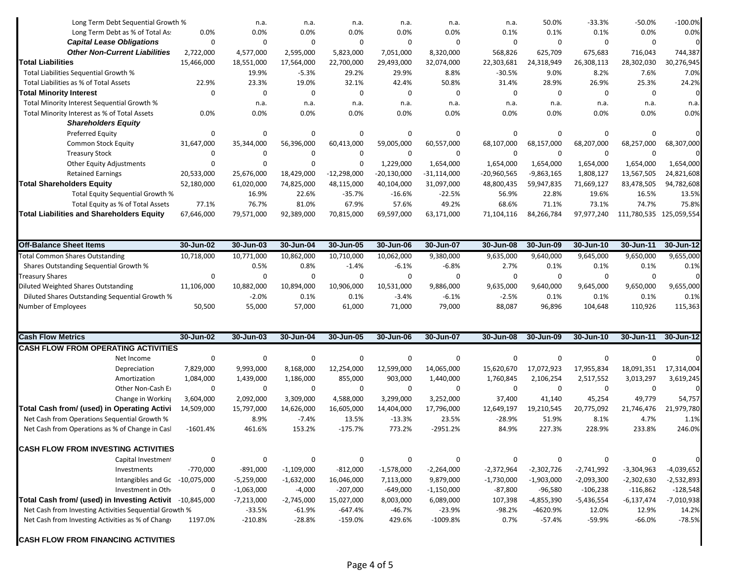| Long Term Debt Sequential Growth %                                                          |                          | n.a.         | n.a.                  | n.a.          | n.a.          | n.a.                | n.a.          | 50.0%        | $-33.3%$     | $-50.0%$           | $-100.0%$               |
|---------------------------------------------------------------------------------------------|--------------------------|--------------|-----------------------|---------------|---------------|---------------------|---------------|--------------|--------------|--------------------|-------------------------|
| Long Term Debt as % of Total As:                                                            | 0.0%                     | 0.0%         | 0.0%                  | 0.0%          | 0.0%          | 0.0%                | 0.1%          | 0.1%         | 0.1%         | 0.0%               | 0.0%                    |
| <b>Capital Lease Obligations</b>                                                            | 0                        | 0            | 0                     | 0             | $\mathbf 0$   | $\boldsymbol{0}$    | 0             | $\mathbf 0$  | 0            | $\mathbf 0$        | $\Omega$                |
| <b>Other Non-Current Liabilities</b>                                                        | 2,722,000                | 4,577,000    | 2,595,000             | 5,823,000     | 7,051,000     | 8,320,000           | 568,826       | 625,709      | 675,683      | 716,043            | 744,387                 |
| Total Liabilities                                                                           | 15,466,000               | 18,551,000   | 17,564,000            | 22,700,000    | 29,493,000    | 32,074,000          | 22,303,681    | 24,318,949   | 26,308,113   | 28,302,030         | 30,276,945              |
| Total Liabilities Sequential Growth %                                                       |                          | 19.9%        | $-5.3%$               | 29.2%         | 29.9%         | 8.8%                | $-30.5%$      | 9.0%         | 8.2%         | 7.6%               | 7.0%                    |
| Total Liabilities as % of Total Assets                                                      | 22.9%                    | 23.3%        | 19.0%                 | 32.1%         | 42.4%         | 50.8%               | 31.4%         | 28.9%        | 26.9%        | 25.3%              | 24.2%                   |
| <b>Total Minority Interest</b>                                                              | $\mathbf 0$              | 0            | 0                     | $\mathbf 0$   | $\mathbf 0$   | $\boldsymbol{0}$    | 0             | $\mathbf 0$  | 0            | $\mathbf 0$        | $\mathbf 0$             |
| Total Minority Interest Sequential Growth %                                                 |                          | n.a.         | n.a.                  | n.a.          | n.a.          | n.a.                | n.a.          | n.a.         | n.a.         | n.a.               | n.a.                    |
| Total Minority Interest as % of Total Assets<br><b>Shareholders Equity</b>                  | 0.0%                     | 0.0%         | 0.0%                  | 0.0%          | 0.0%          | 0.0%                | 0.0%          | 0.0%         | 0.0%         | 0.0%               | 0.0%                    |
| <b>Preferred Equity</b>                                                                     | 0                        | 0            | 0                     | 0             | 0             | 0                   | 0             | 0            | 0            | $\mathbf 0$        | $\Omega$                |
| <b>Common Stock Equity</b>                                                                  | 31,647,000               | 35,344,000   | 56,396,000            | 60,413,000    | 59,005,000    | 60,557,000          | 68,107,000    | 68,157,000   | 68,207,000   | 68,257,000         | 68,307,000              |
| <b>Treasury Stock</b>                                                                       | 0                        | $\mathbf 0$  | 0                     | $\mathbf 0$   | $\mathbf 0$   | 0                   | $\mathbf 0$   | $\mathbf 0$  | 0            | $\mathbf 0$        |                         |
| <b>Other Equity Adjustments</b>                                                             | $\mathbf 0$              | $\Omega$     | 0                     | $\Omega$      | 1,229,000     | 1,654,000           | 1,654,000     | 1,654,000    | 1,654,000    | 1,654,000          | 1,654,000               |
| <b>Retained Earnings</b>                                                                    | 20,533,000               | 25,676,000   | 18,429,000            | $-12,298,000$ | $-20,130,000$ | $-31,114,000$       | $-20,960,565$ | $-9,863,165$ | 1,808,127    | 13,567,505         | 24,821,608              |
| <b>Total Shareholders Equity</b>                                                            | 52,180,000               | 61,020,000   | 74,825,000            | 48,115,000    | 40,104,000    | 31,097,000          | 48,800,435    | 59,947,835   | 71,669,127   | 83,478,505         | 94,782,608              |
| Total Equity Sequential Growth %                                                            |                          | 16.9%        | 22.6%                 | $-35.7%$      | $-16.6%$      | $-22.5%$            | 56.9%         | 22.8%        | 19.6%        | 16.5%              | 13.5%                   |
| Total Equity as % of Total Assets                                                           | 77.1%                    | 76.7%        | 81.0%                 | 67.9%         | 57.6%         | 49.2%               | 68.6%         | 71.1%        | 73.1%        | 74.7%              | 75.8%                   |
| <b>Total Liabilities and Shareholders Equity</b>                                            | 67,646,000               | 79,571,000   | 92,389,000            | 70,815,000    | 69,597,000    | 63,171,000          | 71,104,116    | 84,266,784   | 97,977,240   |                    | 111,780,535 125,059,554 |
|                                                                                             |                          |              |                       |               |               |                     |               |              |              |                    |                         |
| <b>Off-Balance Sheet Items</b>                                                              | 30-Jun-02                | 30-Jun-03    | 30-Jun-04             | 30-Jun-05     | 30-Jun-06     | 30-Jun-07           | 30-Jun-08     | 30-Jun-09    | 30-Jun-10    | 30-Jun-11          | 30-Jun-12               |
| <b>Total Common Shares Outstanding</b>                                                      | 10,718,000               | 10,771,000   | 10,862,000            | 10,710,000    | 10,062,000    | 9,380,000           | 9,635,000     | 9,640,000    | 9,645,000    | 9,650,000          | 9,655,000               |
| Shares Outstanding Sequential Growth %                                                      |                          | 0.5%         | 0.8%                  | $-1.4%$       | $-6.1%$       | $-6.8%$             | 2.7%          | 0.1%         | 0.1%         | 0.1%               | 0.1%                    |
| <b>Treasury Shares</b>                                                                      | 0                        | $\Omega$     | 0                     | $\mathbf 0$   | 0             | $\Omega$            | 0             | $\mathbf 0$  | 0            | $\Omega$           | $\Omega$                |
| Diluted Weighted Shares Outstanding                                                         | 11,106,000               | 10,882,000   | 10,894,000            | 10,906,000    | 10,531,000    | 9,886,000           | 9,635,000     | 9,640,000    | 9,645,000    | 9,650,000          | 9,655,000               |
| Diluted Shares Outstanding Sequential Growth %                                              |                          | $-2.0%$      | 0.1%                  | 0.1%          | $-3.4%$       | $-6.1%$             | $-2.5%$       | 0.1%         | 0.1%         | 0.1%               | 0.1%                    |
| Number of Employees                                                                         | 50,500                   | 55,000       | 57,000                | 61,000        | 71,000        | 79,000              | 88,087        | 96,896       | 104,648      | 110,926            | 115,363                 |
| <b>Cash Flow Metrics</b>                                                                    | 30-Jun-02                | 30-Jun-03    | 30-Jun-04             | 30-Jun-05     | 30-Jun-06     | 30-Jun-07           | 30-Jun-08     | 30-Jun-09    | 30-Jun-10    | 30-Jun-11          | 30-Jun-12               |
| <b>CASH FLOW FROM OPERATING ACTIVITIES</b>                                                  |                          |              |                       |               |               |                     |               |              |              |                    |                         |
| Net Income                                                                                  | 0                        | 0            | 0                     | $\mathbf 0$   | $\mathbf 0$   | 0                   | $\mathbf 0$   | $\mathbf 0$  | 0            | $\Omega$           |                         |
|                                                                                             | 7,829,000                | 9,993,000    | 8,168,000             | 12,254,000    | 12,599,000    | 14,065,000          | 15,620,670    | 17,072,923   | 17,955,834   | 18,091,351         | 17,314,004              |
| Depreciation<br>Amortization                                                                |                          |              |                       |               |               |                     |               |              |              | 3,013,297          |                         |
|                                                                                             | 1,084,000<br>$\mathbf 0$ | 1,439,000    | 1,186,000             | 855,000       | 903,000       | 1,440,000           | 1,760,845     | 2,106,254    | 2,517,552    | $\mathbf 0$        | 3,619,245               |
| Other Non-Cash E                                                                            |                          | 0            | 0                     | 0             | 0             | 0                   | 0             | 0            | 0            |                    |                         |
| Change in Working                                                                           | 3,604,000                | 2,092,000    | 3,309,000             | 4,588,000     | 3,299,000     | 3,252,000           | 37,400        | 41,140       | 45,254       | 49,779             | 54,757                  |
| Total Cash from/ (used) in Operating Activi<br>Net Cash from Operations Sequential Growth % | 14,509,000               | 15,797,000   | 14,626,000<br>$-7.4%$ | 16,605,000    | 14,404,000    | 17,796,000          | 12,649,197    | 19,210,545   | 20,775,092   | 21,746,476<br>4.7% | 21,979,780              |
| Net Cash from Operations as % of Change in Casl                                             |                          | 8.9%         |                       | 13.5%         | $-13.3%$      | 23.5%<br>$-2951.2%$ | $-28.9%$      | 51.9%        | 8.1%         |                    | 1.1%                    |
|                                                                                             | $-1601.4%$               | 461.6%       | 153.2%                | $-175.7%$     | 773.2%        |                     | 84.9%         | 227.3%       | 228.9%       | 233.8%             | 246.0%                  |
| <b>CASH FLOW FROM INVESTING ACTIVITIES</b>                                                  |                          |              |                       |               |               |                     |               |              |              |                    |                         |
| Capital Investment                                                                          | $\pmb{0}$                | 0            | 0                     | 0             | 0             | 0                   | 0             | 0            | $\mathbf 0$  | 0                  | $\mathbf 0$             |
| Investments                                                                                 | $-770,000$               | $-891,000$   | $-1,109,000$          | $-812,000$    | $-1,578,000$  | $-2,264,000$        | $-2,372,964$  | $-2,302,726$ | $-2,741,992$ | $-3,304,963$       | $-4,039,652$            |
| Intangibles and Gc -10,075,000                                                              |                          | $-5,259,000$ | $-1,632,000$          | 16,046,000    | 7,113,000     | 9,879,000           | $-1,730,000$  | $-1,903,000$ | $-2,093,300$ | -2,302,630         | $-2,532,893$            |
| Investment in Oth                                                                           | 0                        | $-1,063,000$ | $-4,000$              | $-207,000$    | $-649,000$    | $-1,150,000$        | $-87,800$     | $-96,580$    | $-106,238$   | $-116,862$         | $-128,548$              |
| Total Cash from/ (used) in Investing Activit -10,845,000                                    |                          | $-7,213,000$ | $-2,745,000$          | 15,027,000    | 8,003,000     | 6,089,000           | 107,398       | $-4,855,390$ | $-5,436,554$ | $-6,137,474$       | $-7,010,938$            |
| Net Cash from Investing Activities Sequential Growth %                                      |                          | $-33.5%$     | -61.9%                | -647.4%       | $-46.7%$      | $-23.9%$            | $-98.2%$      | -4620.9%     | 12.0%        | 12.9%              | 14.2%                   |
| Net Cash from Investing Activities as % of Change                                           | 1197.0%                  | $-210.8%$    | $-28.8%$              | $-159.0%$     | 429.6%        | $-1009.8%$          | 0.7%          | $-57.4%$     | $-59.9%$     | $-66.0%$           | $-78.5%$                |

**CASH FLOW FROM FINANCING ACTIVITIES**